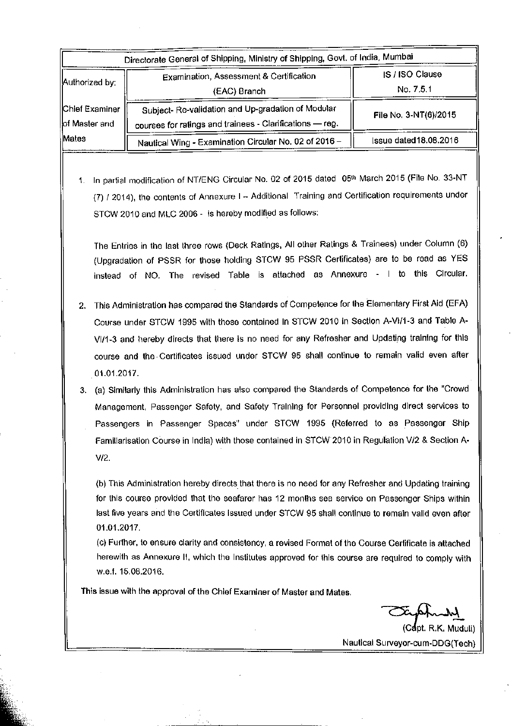| Directorate General of Shipping, Ministry of Shipping, Govt. of India, Mumbai |                                                                                                                |                              |  |  |  |  |
|-------------------------------------------------------------------------------|----------------------------------------------------------------------------------------------------------------|------------------------------|--|--|--|--|
| Authorized by:                                                                | Examination, Assessment & Certification<br>(EAC) Branch                                                        | IS / ISO Clause<br>No. 7.5.1 |  |  |  |  |
| Chief Examiner<br>lof Master and                                              | Subject- Re-validation and Up-gradation of Modular<br>courses for ratings and trainees - Clarifications - reg. | File No. 3-NT(6)/2015        |  |  |  |  |
| Mates                                                                         | Nautical Wing - Examination Circular No. 02 of 2016 -                                                          | Issue dated 18.08.2016       |  |  |  |  |

1. In partial modification of NT/ENG Circular No. 02 of 2015 dated 05th March 2015 (File No. 33-NT (7) / 2014), the contents of Annexure I - Additional Training and Certification requirements under STCW 2010 and MLC 2006 - is hereby modified as follows:

The Entries in the last three rows (Deck Ratings, All other Ratings & Trainees) under Column (6) (Upgradation of PSSR for those holding STCW 95 PSSR Certificates) are to be read as YES instead of NO. The revised Table is attached as Annexure - I to this Circular.

2. This Administration has compared the Standards of Competence for the Elementary First Aid (EFA) Course under STCW 1995 with those contained In STCW 2010 in Section A-VI/1-3 and Table A-VI/1-3 and hereby directs that there is no need for any Refresher and Updating training for this course and the Certificates issued under STCW 95 shall continue to remain valid even after 01.01.2017.

3. (a) Similarly this Administration has also compared the Standards of Competence for the "Crowd Management, Passenger Safety, and Safety Training for Personnel providing direct services to Passengers in Passenger Spaces" under STCW 1995 (Referred to as Passenger Ship Familiarisation Course in India) with those contained in STCW 2010 in Regulation V/2 & Section A- $V/2.$ 

(b) This Administration hereby directs that there is no need for any Refresher and Updating training for this course provided that the seafarer has 12 months sea service on Passenger Ships within last five years and the Certificates issued under STCW 95 shall continue to remain valid even after 01.01.2017.

(c) Further, to ensure clarity and consistency, a revised Format of the Course Certificate is attached herewith as Annexure II, which the Institutes approved for this course are required to comply with w.e.f. 15.08.2016.

This issue with the approval of the Chief Examiner of Master and Mates.

(Capt. R.K. Muduli) Nautical Surveyor-cum-DDG(Tech)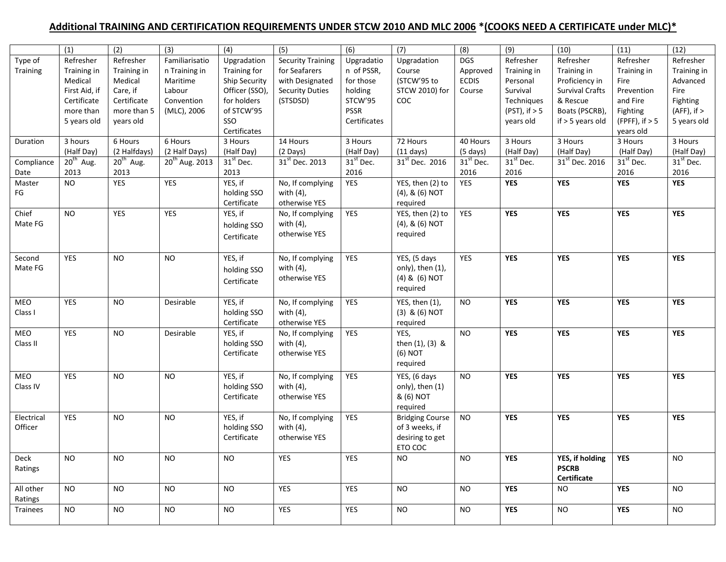## **Additional TRAINING AND CERTIFICATION REQUIREMENTS UNDER STCW 2010 AND MLC 2006 \*(COOKS NEED A CERTIFICATE under MLC)\***

|                 | (1)           | (2)            | (3)                 | (4)                   | (5)                        | (6)                   | (7)                        | (8)                   | (9)                | (10)                       | (11)             | (12)                  |
|-----------------|---------------|----------------|---------------------|-----------------------|----------------------------|-----------------------|----------------------------|-----------------------|--------------------|----------------------------|------------------|-----------------------|
| Type of         | Refresher     | Refresher      | Familiarisatio      | Upgradation           | <b>Security Training</b>   | Upgradatio            | Upgradation                | <b>DGS</b>            | Refresher          | Refresher                  | Refresher        | Refresher             |
| <b>Training</b> | Training in   | Training in    | n Training in       | Training for          | for Seafarers              | n of PSSR,            | Course                     | Approved              | Training in        | Training in                | Training in      | Training in           |
|                 | Medical       | Medical        | Maritime            | Ship Security         | with Designated            | for those             | (STCW'95 to                | <b>ECDIS</b>          | Personal           | Proficiency in             | Fire             | Advanced              |
|                 |               |                |                     |                       |                            |                       |                            |                       |                    |                            |                  |                       |
|                 | First Aid, if | Care, if       | Labour              | Officer (SSO),        | <b>Security Duties</b>     | holding               | STCW 2010) for             | Course                | Survival           | <b>Survival Crafts</b>     | Prevention       | Fire                  |
|                 | Certificate   | Certificate    | Convention          | for holders           | (STSDSD)                   | STCW'95               | COC                        |                       | Techniques         | & Rescue                   | and Fire         | Fighting              |
|                 | more than     | more than 5    | (MLC), 2006         | of STCW'95            |                            | <b>PSSR</b>           |                            |                       | $(PST)$ , if $> 5$ | Boats (PSCRB),             | Fighting         | $(AFF)$ , if $>$      |
|                 | 5 years old   | years old      |                     | SSO                   |                            | Certificates          |                            |                       | years old          | $if > 5$ years old         | (FPFF), if $> 5$ | 5 years old           |
|                 |               |                |                     | Certificates          |                            |                       |                            |                       |                    |                            | years old        |                       |
| Duration        | 3 hours       | 6 Hours        | 6 Hours             | 3 Hours               | 14 Hours                   | 3 Hours               | 72 Hours                   | 40 Hours              | 3 Hours            | 3 Hours                    | 3 Hours          | 3 Hours               |
|                 | (Half Day)    | (2 Halfdays)   | (2 Half Days)       | (Half Day)            | (2 Days)                   | (Half Day)            | $(11 \text{ days})$        | $(5 \text{ days})$    | (Half Day)         | (Half Day)                 | (Half Day)       | (Half Day)            |
| Compliance      | $20th$ Aug.   | $20^{th}$ Aug. | $20^{th}$ Aug. 2013 | 31 <sup>st</sup> Dec. | 31 <sup>st</sup> Dec. 2013 | 31 <sup>st</sup> Dec. | 31 <sup>st</sup> Dec. 2016 | 31 <sup>st</sup> Dec. | $31st$ Dec.        | 31 <sup>st</sup> Dec. 2016 | $31st$ Dec.      | 31 <sup>st</sup> Dec. |
|                 |               |                |                     |                       |                            |                       |                            |                       |                    |                            |                  |                       |
| Date            | 2013          | 2013           |                     | 2013                  |                            | 2016                  |                            | 2016                  | 2016               |                            | 2016             | 2016                  |
| Master          | <b>NO</b>     | YES            | YES                 | YES, if               | No, If complying           | YES                   | YES, then (2) to           | YES                   | <b>YES</b>         | <b>YES</b>                 | <b>YES</b>       | <b>YES</b>            |
| FG              |               |                |                     | holding SSO           | with $(4)$ ,               |                       | (4), & (6) NOT             |                       |                    |                            |                  |                       |
|                 |               |                |                     | Certificate           | otherwise YES              |                       | required                   |                       |                    |                            |                  |                       |
| Chief           | <b>NO</b>     | YES            | YES                 | YES, if               | No, If complying           | YES                   | YES, then (2) to           | YES                   | <b>YES</b>         | <b>YES</b>                 | <b>YES</b>       | <b>YES</b>            |
| Mate FG         |               |                |                     | holding SSO           | with $(4)$ ,               |                       | (4), & (6) NOT             |                       |                    |                            |                  |                       |
|                 |               |                |                     | Certificate           | otherwise YES              |                       | required                   |                       |                    |                            |                  |                       |
|                 |               |                |                     |                       |                            |                       |                            |                       |                    |                            |                  |                       |
|                 |               |                |                     |                       |                            |                       |                            |                       |                    |                            |                  |                       |
| Second          | <b>YES</b>    | NO.            | <b>NO</b>           | YES, if               | No, If complying           | YES                   | $\overline{Y}$ ES, (5 days | <b>YES</b>            | <b>YES</b>         | <b>YES</b>                 | <b>YES</b>       | <b>YES</b>            |
| Mate FG         |               |                |                     | holding SSO           | with $(4)$ ,               |                       | only), then (1),           |                       |                    |                            |                  |                       |
|                 |               |                |                     | Certificate           | otherwise YES              |                       | (4) & (6) NOT              |                       |                    |                            |                  |                       |
|                 |               |                |                     |                       |                            |                       | required                   |                       |                    |                            |                  |                       |
|                 |               |                |                     |                       |                            |                       |                            |                       |                    |                            |                  |                       |
| MEO             | <b>YES</b>    | <b>NO</b>      | Desirable           | YES, if               | No, If complying           | YES                   | YES, then (1),             | <b>NO</b>             | <b>YES</b>         | <b>YES</b>                 | <b>YES</b>       | <b>YES</b>            |
| Class I         |               |                |                     | holding SSO           | with $(4)$ ,               |                       | (3) & (6) NOT              |                       |                    |                            |                  |                       |
|                 |               |                |                     | Certificate           | otherwise YES              |                       | required                   |                       |                    |                            |                  |                       |
| MEO             | <b>YES</b>    | <b>NO</b>      | Desirable           | YES, if               | No, If complying           | <b>YES</b>            | YES,                       | <b>NO</b>             | <b>YES</b>         | <b>YES</b>                 | <b>YES</b>       | <b>YES</b>            |
| Class II        |               |                |                     | holding SSO           | with $(4)$ ,               |                       | then $(1)$ , $(3)$ &       |                       |                    |                            |                  |                       |
|                 |               |                |                     | Certificate           | otherwise YES              |                       | (6) NOT                    |                       |                    |                            |                  |                       |
|                 |               |                |                     |                       |                            |                       | required                   |                       |                    |                            |                  |                       |
|                 |               |                |                     |                       |                            |                       |                            |                       |                    |                            |                  |                       |
| MEO             | YES           | <b>NO</b>      | <b>NO</b>           | YES, if               | No, If complying           | YES                   | YES, (6 days               | <b>NO</b>             | <b>YES</b>         | <b>YES</b>                 | <b>YES</b>       | <b>YES</b>            |
| Class IV        |               |                |                     | holding SSO           | with (4),                  |                       | only), then (1)            |                       |                    |                            |                  |                       |
|                 |               |                |                     | Certificate           | otherwise YES              |                       | & (6) NOT                  |                       |                    |                            |                  |                       |
|                 |               |                |                     |                       |                            |                       | required                   |                       |                    |                            |                  |                       |
| Electrical      | <b>YES</b>    | <b>NO</b>      | <b>NO</b>           | YES, if               | No, If complying           | <b>YES</b>            | <b>Bridging Course</b>     | NO                    | <b>YES</b>         | <b>YES</b>                 | <b>YES</b>       | <b>YES</b>            |
| Officer         |               |                |                     | holding SSO           | with $(4)$ ,               |                       | of 3 weeks, if             |                       |                    |                            |                  |                       |
|                 |               |                |                     | Certificate           | otherwise YES              |                       | desiring to get            |                       |                    |                            |                  |                       |
|                 |               |                |                     |                       |                            |                       | ETO COC                    |                       |                    |                            |                  |                       |
|                 |               | <b>NO</b>      |                     | <b>NO</b>             |                            |                       | <b>NO</b>                  |                       | <b>YES</b>         | YES, if holding            |                  |                       |
| Deck            | <b>NO</b>     |                | <b>NO</b>           |                       | YES                        | YES                   |                            | <b>NO</b>             |                    |                            | YES              | <b>NO</b>             |
| Ratings         |               |                |                     |                       |                            |                       |                            |                       |                    | <b>PSCRB</b>               |                  |                       |
|                 |               |                |                     |                       |                            |                       |                            |                       |                    | Certificate                |                  |                       |
| All other       | <b>NO</b>     | <b>NO</b>      | <b>NO</b>           | <b>NO</b>             | <b>YES</b>                 | YES                   | NO.                        | <b>NO</b>             | <b>YES</b>         | <b>NO</b>                  | <b>YES</b>       | <b>NO</b>             |
| Ratings         |               |                |                     |                       |                            |                       |                            |                       |                    |                            |                  |                       |
| Trainees        | <b>NO</b>     | <b>NO</b>      | <b>NO</b>           | <b>NO</b>             | YES                        | YES                   | <b>NO</b>                  | <b>NO</b>             | <b>YES</b>         | <b>NO</b>                  | <b>YES</b>       | <b>NO</b>             |
|                 |               |                |                     |                       |                            |                       |                            |                       |                    |                            |                  |                       |
|                 |               |                |                     |                       |                            |                       |                            |                       |                    |                            |                  |                       |